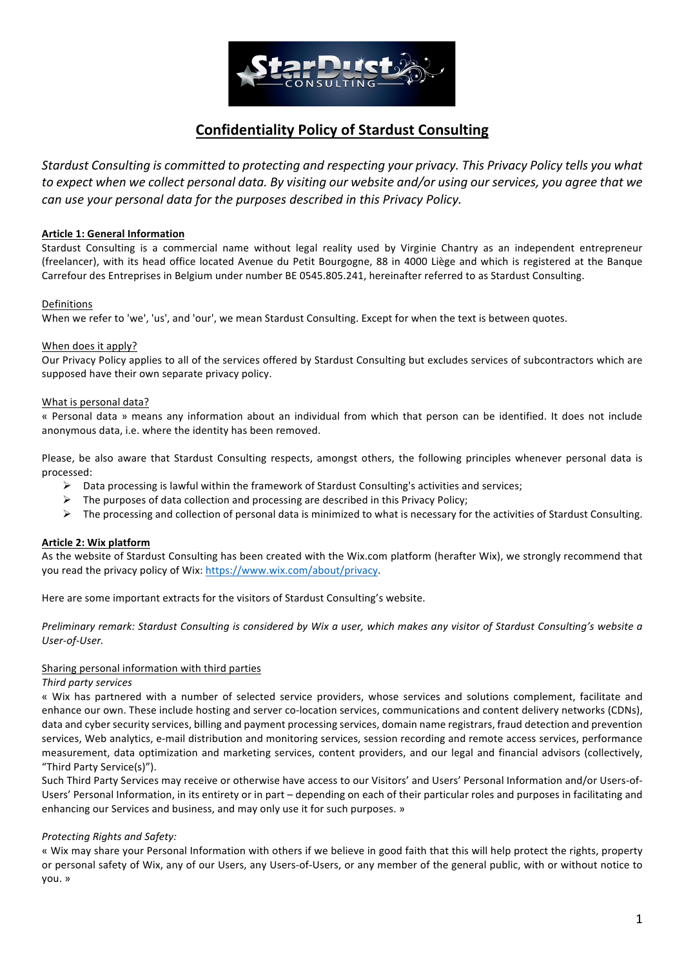

# **Confidentiality Policy of Stardust Consulting**

*Stardust Consulting is committed to protecting and respecting your privacy. This Privacy Policy tells you what to* expect when we collect personal data. By visiting our website and/or using our services, you agree that we *can use your personal data for the purposes described in this Privacy Policy.* 

## **Article 1: General Information**

Stardust Consulting is a commercial name without legal reality used by Virginie Chantry as an independent entrepreneur (freelancer), with its head office located Avenue du Petit Bourgogne, 88 in 4000 Liège and which is registered at the Banque Carrefour des Entreprises in Belgium under number BE 0545.805.241, hereinafter referred to as Stardust Consulting.

#### Definitions

When we refer to 'we', 'us', and 'our', we mean Stardust Consulting. Except for when the text is between quotes.

### When does it apply?

Our Privacy Policy applies to all of the services offered by Stardust Consulting but excludes services of subcontractors which are supposed have their own separate privacy policy.

### What is personal data?

« Personal data » means any information about an individual from which that person can be identified. It does not include anonymous data, i.e. where the identity has been removed.

Please, be also aware that Stardust Consulting respects, amongst others, the following principles whenever personal data is processed:

- $\triangleright$  Data processing is lawful within the framework of Stardust Consulting's activities and services;
- $\triangleright$  The purposes of data collection and processing are described in this Privacy Policy;
- $\triangleright$  The processing and collection of personal data is minimized to what is necessary for the activities of Stardust Consulting.

## **Article 2: Wix platform**

As the website of Stardust Consulting has been created with the Wix.com platform (herafter Wix), we strongly recommend that you read the privacy policy of Wix: https://www.wix.com/about/privacy.

Here are some important extracts for the visitors of Stardust Consulting's website.

*Preliminary remark: Stardust Consulting is considered by Wix a user, which makes any visitor of Stardust Consulting's website a User-of-User.*

#### Sharing personal information with third parties

#### *Third party services*

« Wix has partnered with a number of selected service providers, whose services and solutions complement, facilitate and enhance our own. These include hosting and server co-location services, communications and content delivery networks (CDNs), data and cyber security services, billing and payment processing services, domain name registrars, fraud detection and prevention services, Web analytics, e-mail distribution and monitoring services, session recording and remote access services, performance measurement, data optimization and marketing services, content providers, and our legal and financial advisors (collectively, "Third Party Service(s)"). 

Such Third Party Services may receive or otherwise have access to our Visitors' and Users' Personal Information and/or Users-of-Users' Personal Information, in its entirety or in part – depending on each of their particular roles and purposes in facilitating and enhancing our Services and business, and may only use it for such purposes. »

#### **Protecting Rights and Safety:**

« Wix may share your Personal Information with others if we believe in good faith that this will help protect the rights, property or personal safety of Wix, any of our Users, any Users-of-Users, or any member of the general public, with or without notice to you. »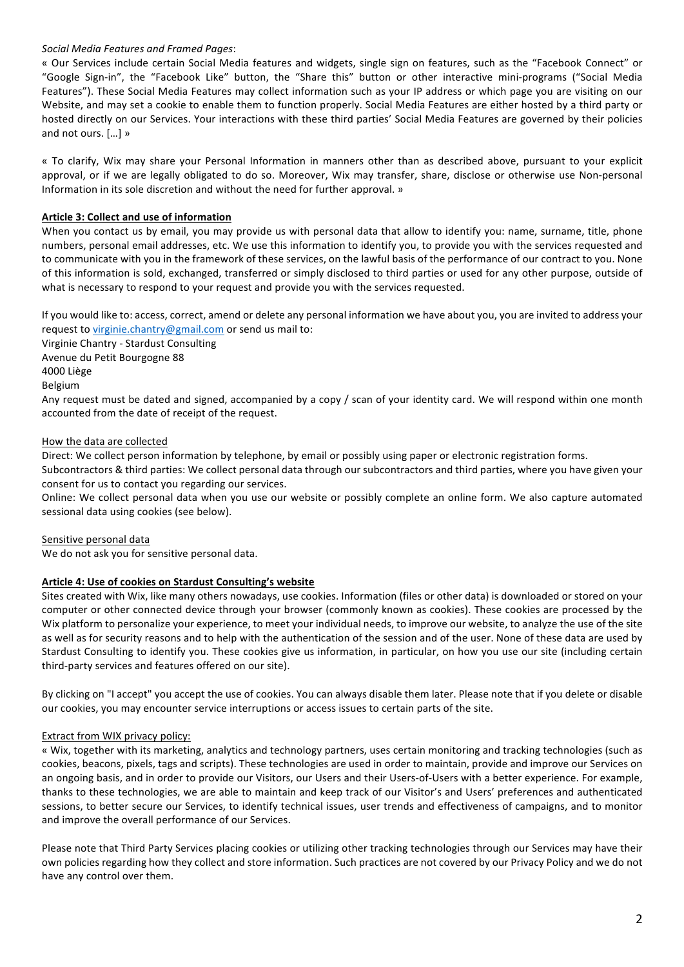## *Social Media Features and Framed Pages*:

« Our Services include certain Social Media features and widgets, single sign on features, such as the "Facebook Connect" or "Google Sign-in", the "Facebook Like" button, the "Share this" button or other interactive mini-programs ("Social Media Features"). These Social Media Features may collect information such as your IP address or which page you are visiting on our Website, and may set a cookie to enable them to function properly. Social Media Features are either hosted by a third party or hosted directly on our Services. Your interactions with these third parties' Social Media Features are governed by their policies and not ours. [...] »

« To clarify, Wix may share your Personal Information in manners other than as described above, pursuant to your explicit approval, or if we are legally obligated to do so. Moreover, Wix may transfer, share, disclose or otherwise use Non-personal Information in its sole discretion and without the need for further approval. »

## Article 3: Collect and use of information

When you contact us by email, you may provide us with personal data that allow to identify you: name, surname, title, phone numbers, personal email addresses, etc. We use this information to identify you, to provide you with the services requested and to communicate with you in the framework of these services, on the lawful basis of the performance of our contract to you. None of this information is sold, exchanged, transferred or simply disclosed to third parties or used for any other purpose, outside of what is necessary to respond to your request and provide you with the services requested.

If you would like to: access, correct, amend or delete any personal information we have about you, you are invited to address your request to virginie.chantry@gmail.com or send us mail to:

Virginie Chantry - Stardust Consulting

Avenue du Petit Bourgogne 88

## 4000 Liège

Belgium

Any request must be dated and signed, accompanied by a copy / scan of your identity card. We will respond within one month accounted from the date of receipt of the request.

## How the data are collected

Direct: We collect person information by telephone, by email or possibly using paper or electronic registration forms. Subcontractors & third parties: We collect personal data through our subcontractors and third parties, where you have given your

consent for us to contact you regarding our services. Online: We collect personal data when you use our website or possibly complete an online form. We also capture automated sessional data using cookies (see below).

## Sensitive personal data

We do not ask you for sensitive personal data.

## **Article 4: Use of cookies on Stardust Consulting's website**

Sites created with Wix, like many others nowadays, use cookies. Information (files or other data) is downloaded or stored on your computer or other connected device through your browser (commonly known as cookies). These cookies are processed by the Wix platform to personalize your experience, to meet your individual needs, to improve our website, to analyze the use of the site as well as for security reasons and to help with the authentication of the session and of the user. None of these data are used by Stardust Consulting to identify you. These cookies give us information, in particular, on how you use our site (including certain third-party services and features offered on our site).

By clicking on "I accept" you accept the use of cookies. You can always disable them later. Please note that if you delete or disable our cookies, you may encounter service interruptions or access issues to certain parts of the site.

## Extract from WIX privacy policy:

« Wix, together with its marketing, analytics and technology partners, uses certain monitoring and tracking technologies (such as cookies, beacons, pixels, tags and scripts). These technologies are used in order to maintain, provide and improve our Services on an ongoing basis, and in order to provide our Visitors, our Users and their Users-of-Users with a better experience. For example, thanks to these technologies, we are able to maintain and keep track of our Visitor's and Users' preferences and authenticated sessions, to better secure our Services, to identify technical issues, user trends and effectiveness of campaigns, and to monitor and improve the overall performance of our Services.

Please note that Third Party Services placing cookies or utilizing other tracking technologies through our Services may have their own policies regarding how they collect and store information. Such practices are not covered by our Privacy Policy and we do not have any control over them.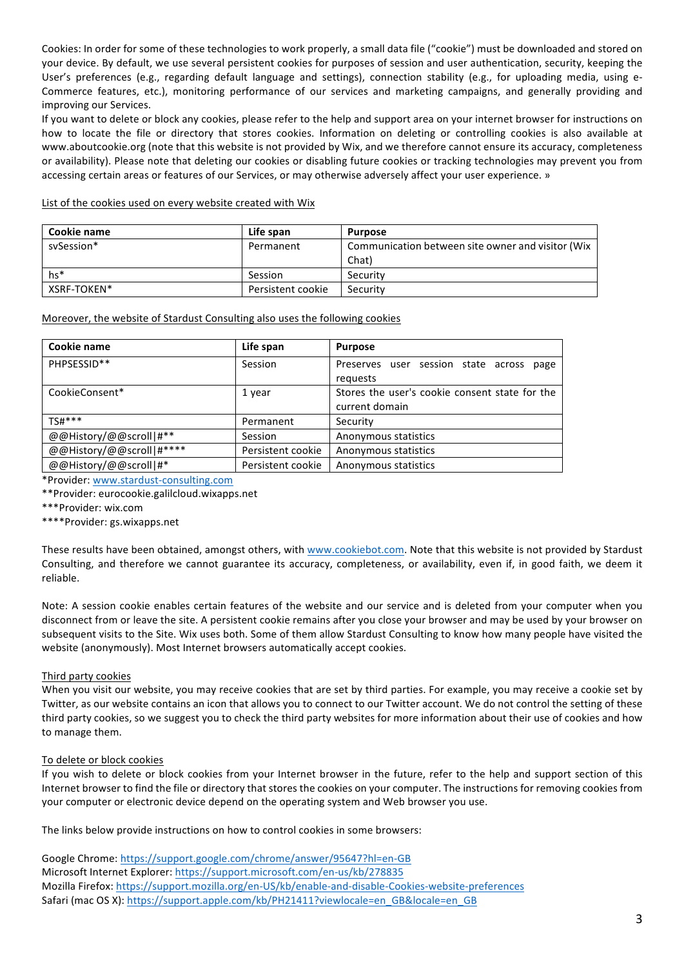Cookies: In order for some of these technologies to work properly, a small data file ("cookie") must be downloaded and stored on your device. By default, we use several persistent cookies for purposes of session and user authentication, security, keeping the User's preferences (e.g., regarding default language and settings), connection stability (e.g., for uploading media, using e-Commerce features, etc.), monitoring performance of our services and marketing campaigns, and generally providing and improving our Services.

If you want to delete or block any cookies, please refer to the help and support area on your internet browser for instructions on how to locate the file or directory that stores cookies. Information on deleting or controlling cookies is also available at www.aboutcookie.org (note that this website is not provided by Wix, and we therefore cannot ensure its accuracy, completeness or availability). Please note that deleting our cookies or disabling future cookies or tracking technologies may prevent you from accessing certain areas or features of our Services, or may otherwise adversely affect your user experience. »

List of the cookies used on every website created with Wix

| Cookie name | Life span         | <b>Purpose</b>                                             |
|-------------|-------------------|------------------------------------------------------------|
| sySession*  | Permanent         | Communication between site owner and visitor (Wix<br>Chat) |
| $hs*$       | Session           | Security                                                   |
| XSRF-TOKEN* | Persistent cookie | Security                                                   |

#### Moreover, the website of Stardust Consulting also uses the following cookies

| Cookie name              | Life span         | <b>Purpose</b>                                                   |
|--------------------------|-------------------|------------------------------------------------------------------|
| PHPSESSID**              | Session           | Preserves user session state across page<br>requests             |
| CookieConsent*           | 1 year            | Stores the user's cookie consent state for the<br>current domain |
| TS#***                   | Permanent         | Security                                                         |
| @@History/@@scroll #**   | Session           | Anonymous statistics                                             |
| @@History/@@scroll #**** | Persistent cookie | Anonymous statistics                                             |
| @@History/@@scroll #*    | Persistent cookie | Anonymous statistics                                             |

\*Provider: www.stardust-consulting.com

\*\*Provider: eurocookie.galilcloud.wixapps.net

\*\*\*Provider: wix.com

\*\*\*\*Provider: gs.wixapps.net

These results have been obtained, amongst others, with www.cookiebot.com. Note that this website is not provided by Stardust Consulting, and therefore we cannot guarantee its accuracy, completeness, or availability, even if, in good faith, we deem it reliable.

Note: A session cookie enables certain features of the website and our service and is deleted from your computer when you disconnect from or leave the site. A persistent cookie remains after you close your browser and may be used by your browser on subsequent visits to the Site. Wix uses both. Some of them allow Stardust Consulting to know how many people have visited the website (anonymously). Most Internet browsers automatically accept cookies.

#### Third party cookies

When you visit our website, you may receive cookies that are set by third parties. For example, you may receive a cookie set by Twitter, as our website contains an icon that allows you to connect to our Twitter account. We do not control the setting of these third party cookies, so we suggest you to check the third party websites for more information about their use of cookies and how to manage them.

#### To delete or block cookies

If you wish to delete or block cookies from your Internet browser in the future, refer to the help and support section of this Internet browser to find the file or directory that stores the cookies on your computer. The instructions for removing cookies from your computer or electronic device depend on the operating system and Web browser you use.

The links below provide instructions on how to control cookies in some browsers:

Google Chrome: https://support.google.com/chrome/answer/95647?hl=en-GB Microsoft Internet Explorer: https://support.microsoft.com/en-us/kb/278835 Mozilla Firefox: https://support.mozilla.org/en-US/kb/enable-and-disable-Cookies-website-preferences Safari (mac OS X): https://support.apple.com/kb/PH21411?viewlocale=en\_GB&locale=en\_GB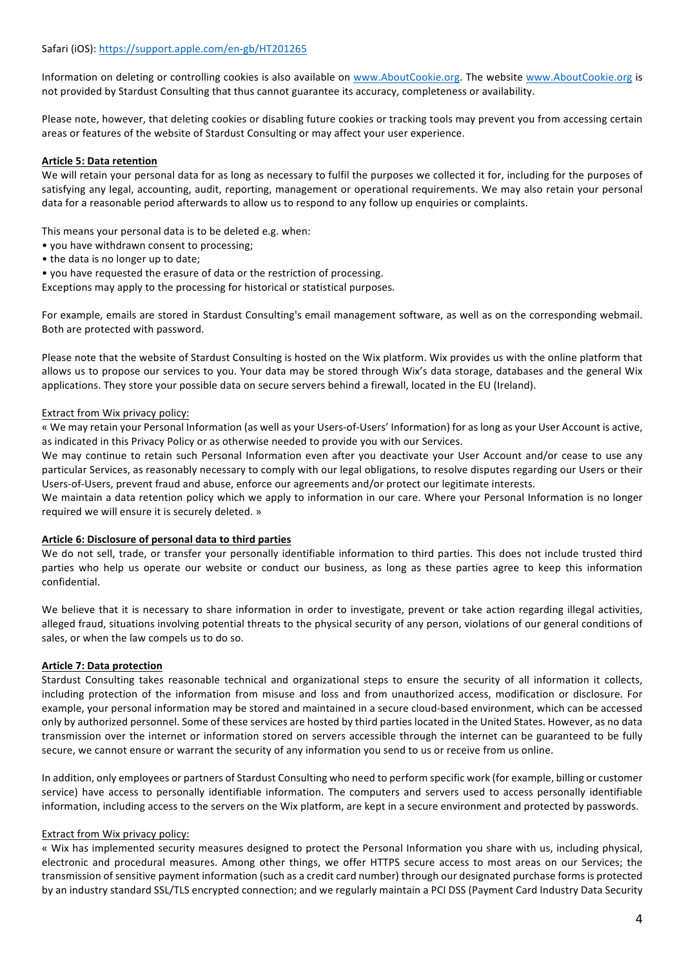Information on deleting or controlling cookies is also available on www.AboutCookie.org. The website www.AboutCookie.org is not provided by Stardust Consulting that thus cannot guarantee its accuracy, completeness or availability.

Please note, however, that deleting cookies or disabling future cookies or tracking tools may prevent you from accessing certain areas or features of the website of Stardust Consulting or may affect your user experience.

### **Article 5: Data retention**

We will retain your personal data for as long as necessary to fulfil the purposes we collected it for, including for the purposes of satisfying any legal, accounting, audit, reporting, management or operational requirements. We may also retain your personal data for a reasonable period afterwards to allow us to respond to any follow up enquiries or complaints.

This means your personal data is to be deleted e.g. when:

- you have withdrawn consent to processing;
- the data is no longer up to date;

• you have requested the erasure of data or the restriction of processing.

Exceptions may apply to the processing for historical or statistical purposes.

For example, emails are stored in Stardust Consulting's email management software, as well as on the corresponding webmail. Both are protected with password.

Please note that the website of Stardust Consulting is hosted on the Wix platform. Wix provides us with the online platform that allows us to propose our services to you. Your data may be stored through Wix's data storage, databases and the general Wix applications. They store your possible data on secure servers behind a firewall, located in the EU (Ireland).

#### Extract from Wix privacy policy:

« We may retain your Personal Information (as well as your Users-of-Users' Information) for as long as your User Account is active, as indicated in this Privacy Policy or as otherwise needed to provide you with our Services.

We may continue to retain such Personal Information even after you deactivate your User Account and/or cease to use any particular Services, as reasonably necessary to comply with our legal obligations, to resolve disputes regarding our Users or their Users-of-Users, prevent fraud and abuse, enforce our agreements and/or protect our legitimate interests.

We maintain a data retention policy which we apply to information in our care. Where your Personal Information is no longer required we will ensure it is securely deleted. »

#### Article 6: Disclosure of personal data to third parties

We do not sell, trade, or transfer your personally identifiable information to third parties. This does not include trusted third parties who help us operate our website or conduct our business, as long as these parties agree to keep this information confidential.

We believe that it is necessary to share information in order to investigate, prevent or take action regarding illegal activities, alleged fraud, situations involving potential threats to the physical security of any person, violations of our general conditions of sales, or when the law compels us to do so.

#### **Article 7: Data protection**

Stardust Consulting takes reasonable technical and organizational steps to ensure the security of all information it collects, including protection of the information from misuse and loss and from unauthorized access, modification or disclosure. For example, your personal information may be stored and maintained in a secure cloud-based environment, which can be accessed only by authorized personnel. Some of these services are hosted by third parties located in the United States. However, as no data transmission over the internet or information stored on servers accessible through the internet can be guaranteed to be fully secure, we cannot ensure or warrant the security of any information you send to us or receive from us online.

In addition, only employees or partners of Stardust Consulting who need to perform specific work (for example, billing or customer service) have access to personally identifiable information. The computers and servers used to access personally identifiable information, including access to the servers on the Wix platform, are kept in a secure environment and protected by passwords.

#### Extract from Wix privacy policy:

« Wix has implemented security measures designed to protect the Personal Information you share with us, including physical, electronic and procedural measures. Among other things, we offer HTTPS secure access to most areas on our Services; the transmission of sensitive payment information (such as a credit card number) through our designated purchase forms is protected by an industry standard SSL/TLS encrypted connection; and we regularly maintain a PCI DSS (Payment Card Industry Data Security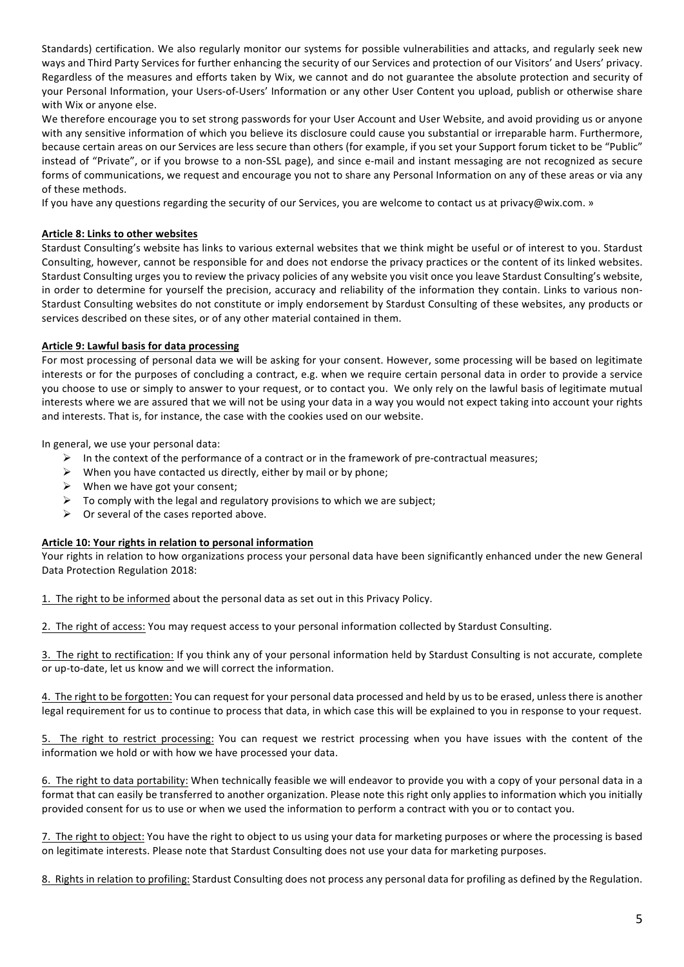Standards) certification. We also regularly monitor our systems for possible vulnerabilities and attacks, and regularly seek new ways and Third Party Services for further enhancing the security of our Services and protection of our Visitors' and Users' privacy. Regardless of the measures and efforts taken by Wix, we cannot and do not guarantee the absolute protection and security of your Personal Information, your Users-of-Users' Information or any other User Content you upload, publish or otherwise share with Wix or anyone else.

We therefore encourage you to set strong passwords for your User Account and User Website, and avoid providing us or anyone with any sensitive information of which you believe its disclosure could cause you substantial or irreparable harm. Furthermore, because certain areas on our Services are less secure than others (for example, if you set your Support forum ticket to be "Public" instead of "Private", or if you browse to a non-SSL page), and since e-mail and instant messaging are not recognized as secure forms of communications, we request and encourage you not to share any Personal Information on any of these areas or via any of these methods.

If you have any questions regarding the security of our Services, you are welcome to contact us at privacy@wix.com. »

## **Article 8: Links to other websites**

Stardust Consulting's website has links to various external websites that we think might be useful or of interest to you. Stardust Consulting, however, cannot be responsible for and does not endorse the privacy practices or the content of its linked websites. Stardust Consulting urges you to review the privacy policies of any website you visit once you leave Stardust Consulting's website, in order to determine for yourself the precision, accuracy and reliability of the information they contain. Links to various non-Stardust Consulting websites do not constitute or imply endorsement by Stardust Consulting of these websites, any products or services described on these sites, or of any other material contained in them.

### **Article 9: Lawful basis for data processing**

For most processing of personal data we will be asking for your consent. However, some processing will be based on legitimate interests or for the purposes of concluding a contract, e.g. when we require certain personal data in order to provide a service you choose to use or simply to answer to your request, or to contact you. We only rely on the lawful basis of legitimate mutual interests where we are assured that we will not be using your data in a way you would not expect taking into account your rights and interests. That is, for instance, the case with the cookies used on our website.

In general, we use your personal data:

- $\triangleright$  In the context of the performance of a contract or in the framework of pre-contractual measures;
- $\triangleright$  When you have contacted us directly, either by mail or by phone;
- $\triangleright$  When we have got your consent;
- $\triangleright$  To comply with the legal and regulatory provisions to which we are subject;
- $\triangleright$  Or several of the cases reported above.

#### **Article 10: Your rights in relation to personal information**

Your rights in relation to how organizations process your personal data have been significantly enhanced under the new General Data Protection Regulation 2018:

1. The right to be informed about the personal data as set out in this Privacy Policy.

2. The right of access: You may request access to your personal information collected by Stardust Consulting.

3. The right to rectification: If you think any of your personal information held by Stardust Consulting is not accurate, complete or up-to-date, let us know and we will correct the information.

4. The right to be forgotten: You can request for your personal data processed and held by us to be erased, unless there is another legal requirement for us to continue to process that data, in which case this will be explained to you in response to your request.

The right to restrict processing: You can request we restrict processing when you have issues with the content of the information we hold or with how we have processed your data.

6. The right to data portability: When technically feasible we will endeavor to provide you with a copy of your personal data in a format that can easily be transferred to another organization. Please note this right only applies to information which you initially provided consent for us to use or when we used the information to perform a contract with you or to contact you.

7. The right to object: You have the right to object to us using your data for marketing purposes or where the processing is based on legitimate interests. Please note that Stardust Consulting does not use your data for marketing purposes.

8. Rights in relation to profiling: Stardust Consulting does not process any personal data for profiling as defined by the Regulation.